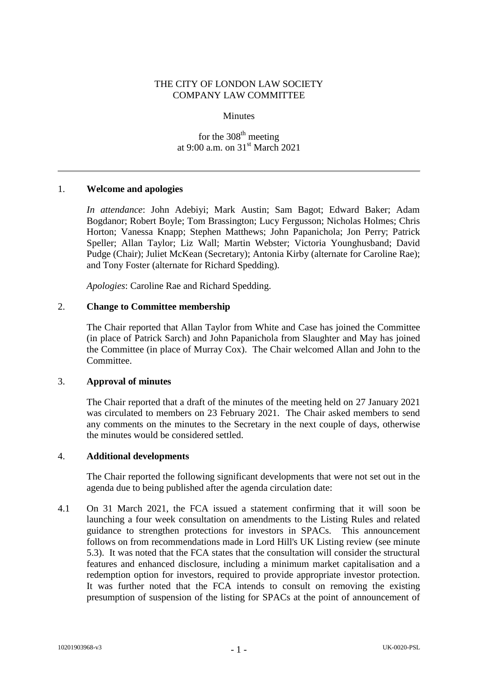### THE CITY OF LONDON LAW SOCIETY COMPANY LAW COMMITTEE

#### **Minutes**

for the 308<sup>th</sup> meeting at 9:00 a.m. on 31st March 2021

### 1. **Welcome and apologies**

*In attendance*: John Adebiyi; Mark Austin; Sam Bagot; Edward Baker; Adam Bogdanor; Robert Boyle; Tom Brassington; Lucy Fergusson; Nicholas Holmes; Chris Horton; Vanessa Knapp; Stephen Matthews; John Papanichola; Jon Perry; Patrick Speller; Allan Taylor; Liz Wall; Martin Webster; Victoria Younghusband; David Pudge (Chair); Juliet McKean (Secretary); Antonia Kirby (alternate for Caroline Rae); and Tony Foster (alternate for Richard Spedding).

*Apologies*: Caroline Rae and Richard Spedding.

### 2. **Change to Committee membership**

The Chair reported that Allan Taylor from White and Case has joined the Committee (in place of Patrick Sarch) and John Papanichola from Slaughter and May has joined the Committee (in place of Murray Cox). The Chair welcomed Allan and John to the Committee.

#### 3. **Approval of minutes**

The Chair reported that a draft of the minutes of the meeting held on 27 January 2021 was circulated to members on 23 February 2021. The Chair asked members to send any comments on the minutes to the Secretary in the next couple of days, otherwise the minutes would be considered settled.

### 4. **Additional developments**

The Chair reported the following significant developments that were not set out in the agenda due to being published after the agenda circulation date:

4.1 On 31 March 2021, the FCA issued a statement confirming that it will soon be launching a four week consultation on amendments to the Listing Rules and related guidance to strengthen protections for investors in SPACs. This announcement follows on from recommendations made in Lord Hill's UK Listing review (see minute 5.3). It was noted that the FCA states that the consultation will consider the structural features and enhanced disclosure, including a minimum market capitalisation and a redemption option for investors, required to provide appropriate investor protection. It was further noted that the FCA intends to consult on removing the existing presumption of suspension of the listing for SPACs at the point of announcement of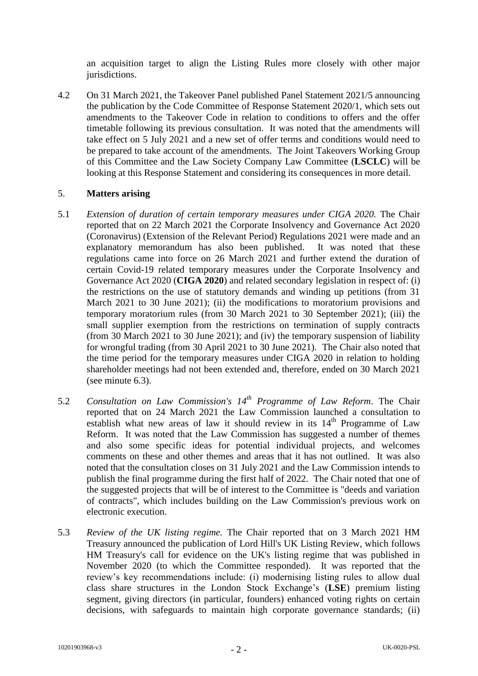an acquisition target to align the Listing Rules more closely with other major jurisdictions.

4.2 On 31 March 2021, the Takeover Panel published Panel Statement 2021/5 announcing the publication by the Code Committee of Response Statement 2020/1, which sets out amendments to the Takeover Code in relation to conditions to offers and the offer timetable following its previous consultation. It was noted that the amendments will take effect on 5 July 2021 and a new set of offer terms and conditions would need to be prepared to take account of the amendments. The Joint Takeovers Working Group of this Committee and the Law Society Company Law Committee (**LSCLC**) will be looking at this Response Statement and considering its consequences in more detail.

## 5. **Matters arising**

- 5.1 *Extension of duration of certain temporary measures under CIGA 2020.* The Chair reported that on 22 March 2021 the Corporate Insolvency and Governance Act 2020 (Coronavirus) (Extension of the Relevant Period) Regulations 2021 were made and an explanatory memorandum has also been published. It was noted that these regulations came into force on 26 March 2021 and further extend the duration of certain Covid-19 related temporary measures under the Corporate Insolvency and Governance Act 2020 (**CIGA 2020**) and related secondary legislation in respect of: (i) the restrictions on the use of statutory demands and winding up petitions (from 31 March 2021 to 30 June 2021); (ii) the modifications to moratorium provisions and temporary moratorium rules (from 30 March 2021 to 30 September 2021); (iii) the small supplier exemption from the restrictions on termination of supply contracts (from 30 March 2021 to 30 June 2021); and (iv) the temporary suspension of liability for wrongful trading (from 30 April 2021 to 30 June 2021). The Chair also noted that the time period for the temporary measures under CIGA 2020 in relation to holding shareholder meetings had not been extended and, therefore, ended on 30 March 2021 (see minute 6.3).
- 5.2 *Consultation on Law Commission's 14th Programme of Law Reform*. The Chair reported that on 24 March 2021 the Law Commission launched a consultation to establish what new areas of law it should review in its  $14<sup>th</sup>$  Programme of Law Reform. It was noted that the Law Commission has suggested a number of themes and also some specific ideas for potential individual projects, and welcomes comments on these and other themes and areas that it has not outlined. It was also noted that the consultation closes on 31 July 2021 and the Law Commission intends to publish the final programme during the first half of 2022. The Chair noted that one of the suggested projects that will be of interest to the Committee is "deeds and variation of contracts", which includes building on the Law Commission's previous work on electronic execution.
- 5.3 *Review of the UK listing regime.* The Chair reported that on 3 March 2021 HM Treasury announced the publication of Lord Hill's UK Listing Review, which follows HM Treasury's call for evidence on the UK's listing regime that was published in November 2020 (to which the Committee responded). It was reported that the review's key recommendations include: (i) modernising listing rules to allow dual class share structures in the London Stock Exchange's (**LSE**) premium listing segment, giving directors (in particular, founders) enhanced voting rights on certain decisions, with safeguards to maintain high corporate governance standards; (ii)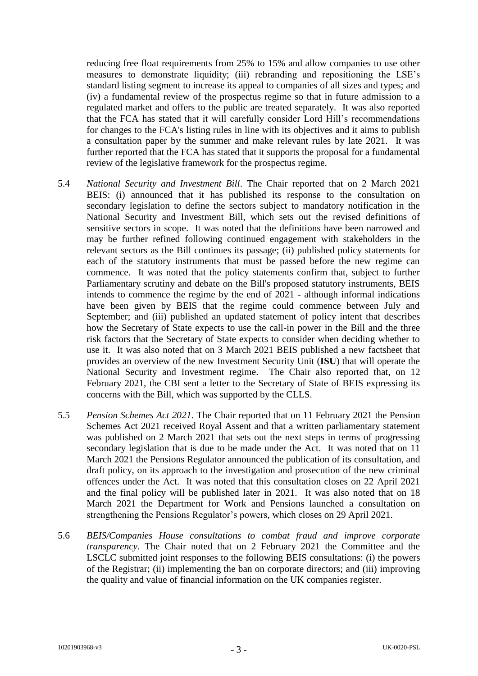reducing free float requirements from 25% to 15% and allow companies to use other measures to demonstrate liquidity; (iii) rebranding and repositioning the LSE's standard listing segment to increase its appeal to companies of all sizes and types; and (iv) a fundamental review of the prospectus regime so that in future admission to a regulated market and offers to the public are treated separately. It was also reported that the FCA has stated that it will carefully consider Lord Hill's recommendations for changes to the FCA's listing rules in line with its objectives and it aims to publish a consultation paper by the summer and make relevant rules by late 2021. It was further reported that the FCA has stated that it supports the proposal for a fundamental review of the legislative framework for the prospectus regime.

- 5.4 *National Security and Investment Bill*. The Chair reported that on 2 March 2021 BEIS: (i) announced that it has published its response to the consultation on secondary legislation to define the sectors subject to mandatory notification in the National Security and Investment Bill, which sets out the revised definitions of sensitive sectors in scope. It was noted that the definitions have been narrowed and may be further refined following continued engagement with stakeholders in the relevant sectors as the Bill continues its passage; (ii) published policy statements for each of the statutory instruments that must be passed before the new regime can commence. It was noted that the policy statements confirm that, subject to further Parliamentary scrutiny and debate on the Bill's proposed statutory instruments, BEIS intends to commence the regime by the end of 2021 - although informal indications have been given by BEIS that the regime could commence between July and September; and (iii) published an updated statement of policy intent that describes how the Secretary of State expects to use the call-in power in the Bill and the three risk factors that the Secretary of State expects to consider when deciding whether to use it. It was also noted that on 3 March 2021 BEIS published a new factsheet that provides an overview of the new Investment Security Unit (**ISU**) that will operate the National Security and Investment regime. The Chair also reported that, on 12 February 2021, the CBI sent a letter to the Secretary of State of BEIS expressing its concerns with the Bill, which was supported by the CLLS.
- 5.5 *Pension Schemes Act 2021*. The Chair reported that on 11 February 2021 the Pension Schemes Act 2021 received Royal Assent and that a written parliamentary statement was published on 2 March 2021 that sets out the next steps in terms of progressing secondary legislation that is due to be made under the Act. It was noted that on 11 March 2021 the Pensions Regulator announced the publication of its consultation, and draft policy, on its approach to the investigation and prosecution of the new criminal offences under the Act. It was noted that this consultation closes on 22 April 2021 and the final policy will be published later in 2021. It was also noted that on 18 March 2021 the Department for Work and Pensions launched a consultation on strengthening the Pensions Regulator's powers, which closes on 29 April 2021.
- 5.6 *BEIS/Companies House consultations to combat fraud and improve corporate transparency*. The Chair noted that on 2 February 2021 the Committee and the LSCLC submitted joint responses to the following BEIS consultations: (i) the powers of the Registrar; (ii) implementing the ban on corporate directors; and (iii) improving the quality and value of financial information on the UK companies register.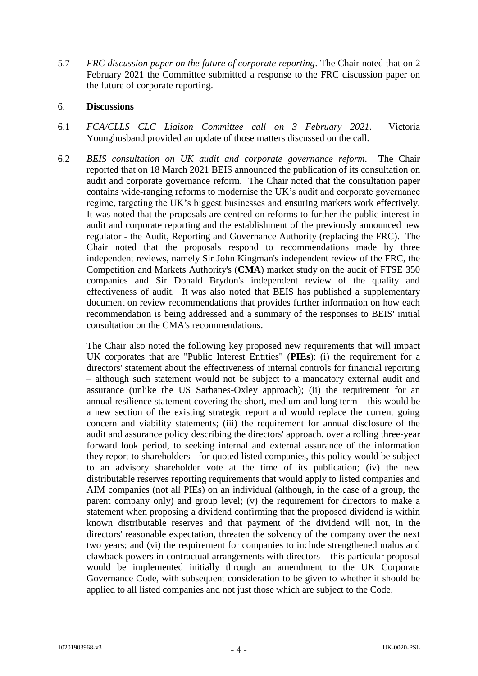5.7 *FRC discussion paper on the future of corporate reporting*. The Chair noted that on 2 February 2021 the Committee submitted a response to the FRC discussion paper on the future of corporate reporting.

### 6. **Discussions**

- 6.1 *FCA/CLLS CLC Liaison Committee call on 3 February 2021*. Victoria Younghusband provided an update of those matters discussed on the call.
- 6.2 *BEIS consultation on UK audit and corporate governance reform*. The Chair reported that on 18 March 2021 BEIS announced the publication of its consultation on audit and corporate governance reform. The Chair noted that the consultation paper contains wide-ranging reforms to modernise the UK's audit and corporate governance regime, targeting the UK's biggest businesses and ensuring markets work effectively. It was noted that the proposals are centred on reforms to further the public interest in audit and corporate reporting and the establishment of the previously announced new regulator - the Audit, Reporting and Governance Authority (replacing the FRC). The Chair noted that the proposals respond to recommendations made by three independent reviews, namely Sir John Kingman's independent review of the FRC, the Competition and Markets Authority's (**CMA**) market study on the audit of FTSE 350 companies and Sir Donald Brydon's independent review of the quality and effectiveness of audit. It was also noted that BEIS has published a supplementary document on review recommendations that provides further information on how each recommendation is being addressed and a summary of the responses to BEIS' initial consultation on the CMA's recommendations.

The Chair also noted the following key proposed new requirements that will impact UK corporates that are "Public Interest Entities" (**PIEs**): (i) the requirement for a directors' statement about the effectiveness of internal controls for financial reporting – although such statement would not be subject to a mandatory external audit and assurance (unlike the US Sarbanes-Oxley approach); (ii) the requirement for an annual resilience statement covering the short, medium and long term – this would be a new section of the existing strategic report and would replace the current going concern and viability statements; (iii) the requirement for annual disclosure of the audit and assurance policy describing the directors' approach, over a rolling three-year forward look period, to seeking internal and external assurance of the information they report to shareholders - for quoted listed companies, this policy would be subject to an advisory shareholder vote at the time of its publication; (iv) the new distributable reserves reporting requirements that would apply to listed companies and AIM companies (not all PIEs) on an individual (although, in the case of a group, the parent company only) and group level; (v) the requirement for directors to make a statement when proposing a dividend confirming that the proposed dividend is within known distributable reserves and that payment of the dividend will not, in the directors' reasonable expectation, threaten the solvency of the company over the next two years; and (vi) the requirement for companies to include strengthened malus and clawback powers in contractual arrangements with directors – this particular proposal would be implemented initially through an amendment to the UK Corporate Governance Code, with subsequent consideration to be given to whether it should be applied to all listed companies and not just those which are subject to the Code.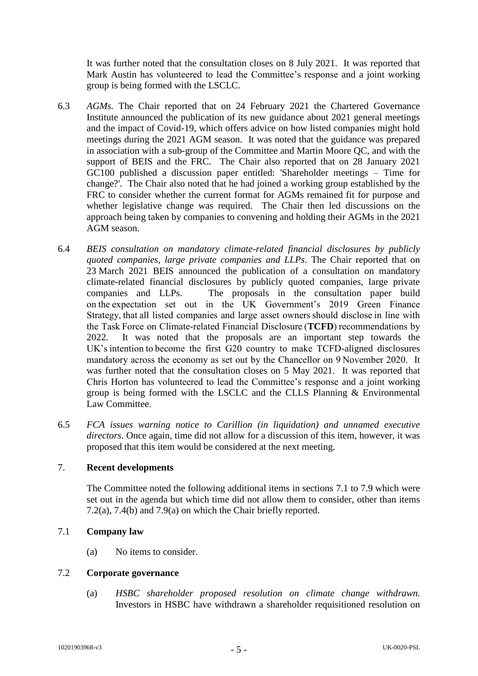It was further noted that the consultation closes on 8 July 2021. It was reported that Mark Austin has volunteered to lead the Committee's response and a joint working group is being formed with the LSCLC.

- 6.3 *AGMs.* The Chair reported that on 24 February 2021 the Chartered Governance Institute announced the publication of its new guidance about 2021 general meetings and the impact of Covid-19, which offers advice on how listed companies might hold meetings during the 2021 AGM season. It was noted that the guidance was prepared in association with a sub-group of the Committee and Martin Moore QC, and with the support of BEIS and the FRC. The Chair also reported that on 28 January 2021 GC100 published a discussion paper entitled: 'Shareholder meetings – Time for change?'. The Chair also noted that he had joined a working group established by the FRC to consider whether the current format for AGMs remained fit for purpose and whether legislative change was required. The Chair then led discussions on the approach being taken by companies to convening and holding their AGMs in the 2021 AGM season.
- 6.4 *BEIS consultation on mandatory climate-related financial disclosures by publicly quoted companies, large private companies and LLPs*. The Chair reported that on 23 March 2021 BEIS announced the publication of a consultation on mandatory climate-related financial disclosures by publicly quoted companies, large private companies and LLPs. The proposals in the consultation paper build on the expectation set out in the UK Government's 2019 Green Finance Strategy, that all listed companies and large asset owners should disclose in line with the Task Force on Climate-related Financial Disclosure (**TCFD**) recommendations by 2022. It was noted that the proposals are an important step towards the UK's intention to become the first G20 country to make TCFD-aligned disclosures mandatory across the economy as set out by the Chancellor on 9 November 2020. It was further noted that the consultation closes on 5 May 2021. It was reported that Chris Horton has volunteered to lead the Committee's response and a joint working group is being formed with the LSCLC and the CLLS Planning & Environmental Law Committee.
- 6.5 *FCA issues warning notice to Carillion (in liquidation) and unnamed executive directors*. Once again, time did not allow for a discussion of this item, however, it was proposed that this item would be considered at the next meeting.

### 7. **Recent developments**

The Committee noted the following additional items in sections 7.1 to 7.9 which were set out in the agenda but which time did not allow them to consider, other than items 7.2(a), 7.4(b) and 7.9(a) on which the Chair briefly reported.

# 7.1 **Company law**

(a) No items to consider.

# 7.2 **Corporate governance**

(a) *HSBC shareholder proposed resolution on climate change withdrawn.*  Investors in HSBC have withdrawn a shareholder requisitioned resolution on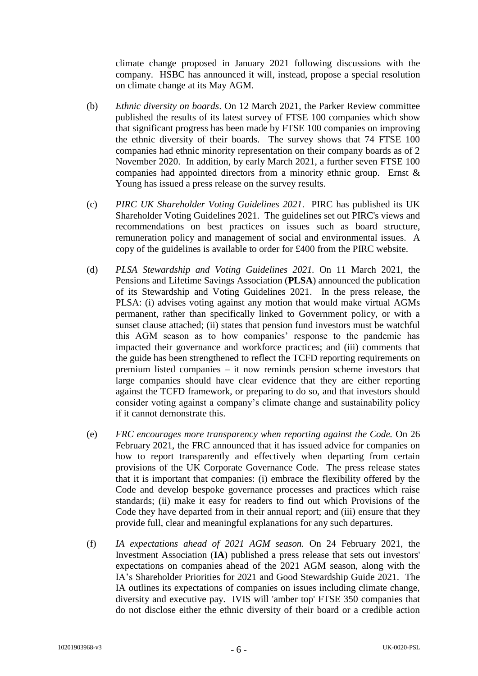climate change proposed in January 2021 following discussions with the company. HSBC has announced it will, instead, propose a special resolution on climate change at its May AGM.

- (b) *Ethnic diversity on boards*. On 12 March 2021, the Parker Review committee published the results of its latest survey of FTSE 100 companies which show that significant progress has been made by FTSE 100 companies on improving the ethnic diversity of their boards. The survey shows that 74 FTSE 100 companies had ethnic minority representation on their company boards as of 2 November 2020. In addition, by early March 2021, a further seven FTSE 100 companies had appointed directors from a minority ethnic group. Ernst & Young has issued a press release on the survey results.
- (c) *PIRC UK Shareholder Voting Guidelines 2021*. PIRC has published its UK Shareholder Voting Guidelines 2021. The guidelines set out PIRC's views and recommendations on best practices on issues such as board structure, remuneration policy and management of social and environmental issues. A copy of the guidelines is available to order for £400 from the PIRC website.
- (d) *PLSA Stewardship and Voting Guidelines 2021.* On 11 March 2021, the Pensions and Lifetime Savings Association (**PLSA**) announced the publication of its Stewardship and Voting Guidelines 2021. In the press release, the PLSA: (i) advises voting against any motion that would make virtual AGMs permanent, rather than specifically linked to Government policy, or with a sunset clause attached; (ii) states that pension fund investors must be watchful this AGM season as to how companies' response to the pandemic has impacted their governance and workforce practices; and (iii) comments that the guide has been strengthened to reflect the TCFD reporting requirements on premium listed companies – it now reminds pension scheme investors that large companies should have clear evidence that they are either reporting against the TCFD framework, or preparing to do so, and that investors should consider voting against a company's climate change and sustainability policy if it cannot demonstrate this.
- (e) *FRC encourages more transparency when reporting against the Code.* On 26 February 2021, the FRC announced that it has issued advice for companies on how to report transparently and effectively when departing from certain provisions of the UK Corporate Governance Code. The press release states that it is important that companies: (i) embrace the flexibility offered by the Code and develop bespoke governance processes and practices which raise standards; (ii) make it easy for readers to find out which Provisions of the Code they have departed from in their annual report; and (iii) ensure that they provide full, clear and meaningful explanations for any such departures.
- (f) *IA expectations ahead of 2021 AGM season.* On 24 February 2021, the Investment Association (**IA**) published a press release that sets out investors' expectations on companies ahead of the 2021 AGM season, along with the IA's Shareholder Priorities for 2021 and Good Stewardship Guide 2021. The IA outlines its expectations of companies on issues including climate change, diversity and executive pay. IVIS will 'amber top' FTSE 350 companies that do not disclose either the ethnic diversity of their board or a credible action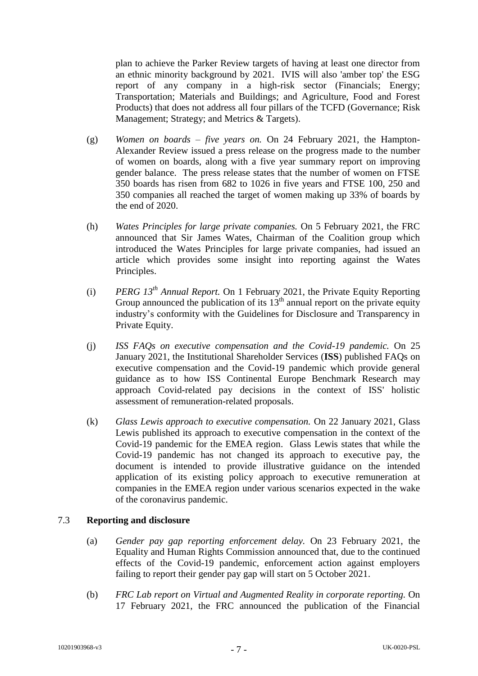plan to achieve the Parker Review targets of having at least one director from an ethnic minority background by 2021. IVIS will also 'amber top' the ESG report of any company in a high-risk sector (Financials; Energy; Transportation; Materials and Buildings; and Agriculture, Food and Forest Products) that does not address all four pillars of the TCFD (Governance; Risk Management; Strategy; and Metrics & Targets).

- (g) *Women on boards – five years on.* On 24 February 2021, the Hampton-Alexander Review issued a press release on the progress made to the number of women on boards, along with a five year summary report on improving gender balance. The press release states that the number of women on FTSE 350 boards has risen from 682 to 1026 in five years and FTSE 100, 250 and 350 companies all reached the target of women making up 33% of boards by the end of 2020.
- (h) *Wates Principles for large private companies.* On 5 February 2021, the FRC announced that Sir James Wates, Chairman of the Coalition group which introduced the Wates Principles for large private companies, had issued an article which provides some insight into reporting against the Wates Principles.
- (i) *PERG 13th Annual Report.* On 1 February 2021, the Private Equity Reporting Group announced the publication of its  $13<sup>th</sup>$  annual report on the private equity industry's conformity with the Guidelines for Disclosure and Transparency in Private Equity.
- (j) *ISS FAQs on executive compensation and the Covid-19 pandemic.* On 25 January 2021, the Institutional Shareholder Services (**ISS**) published FAQs on executive compensation and the Covid-19 pandemic which provide general guidance as to how ISS Continental Europe Benchmark Research may approach Covid-related pay decisions in the context of ISS' holistic assessment of remuneration-related proposals.
- (k) *Glass Lewis approach to executive compensation.* On 22 January 2021, Glass Lewis published its approach to executive compensation in the context of the Covid-19 pandemic for the EMEA region. Glass Lewis states that while the Covid-19 pandemic has not changed its approach to executive pay, the document is intended to provide illustrative guidance on the intended application of its existing policy approach to executive remuneration at companies in the EMEA region under various scenarios expected in the wake of the coronavirus pandemic.

### 7.3 **Reporting and disclosure**

- (a) *Gender pay gap reporting enforcement delay.* On 23 February 2021, the Equality and Human Rights Commission announced that, due to the continued effects of the Covid-19 pandemic, enforcement action against employers failing to report their gender pay gap will start on 5 October 2021.
- (b) *FRC Lab report on Virtual and Augmented Reality in corporate reporting.* On 17 February 2021, the FRC announced the publication of the Financial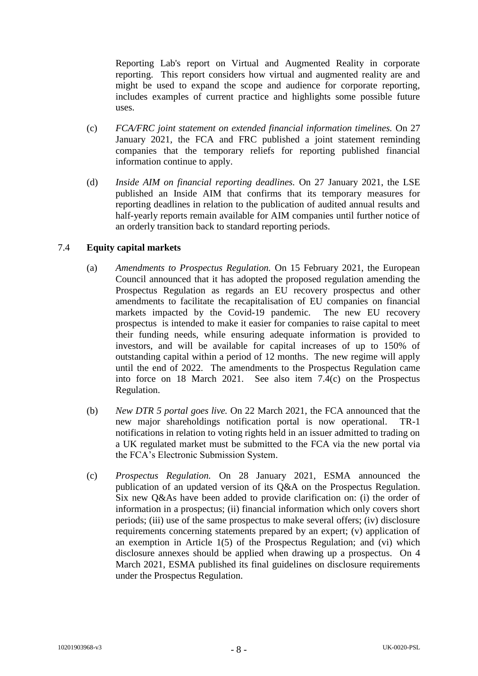Reporting Lab's report on Virtual and Augmented Reality in corporate reporting. This report considers how virtual and augmented reality are and might be used to expand the scope and audience for corporate reporting, includes examples of current practice and highlights some possible future uses.

- (c) *FCA/FRC joint statement on extended financial information timelines.* On 27 January 2021, the FCA and FRC published a joint statement reminding companies that the temporary reliefs for reporting published financial information continue to apply.
- (d) *Inside AIM on financial reporting deadlines.* On 27 January 2021, the LSE published an Inside AIM that confirms that its temporary measures for reporting deadlines in relation to the publication of audited annual results and half-yearly reports remain available for AIM companies until further notice of an orderly transition back to standard reporting periods.

## 7.4 **Equity capital markets**

- (a) *Amendments to Prospectus Regulation.* On 15 February 2021, the European Council announced that it has adopted the proposed regulation amending the Prospectus Regulation as regards an EU recovery prospectus and other amendments to facilitate the recapitalisation of EU companies on financial markets impacted by the Covid-19 pandemic. The new EU recovery prospectus is intended to make it easier for companies to raise capital to meet their funding needs, while ensuring adequate information is provided to investors, and will be available for capital increases of up to 150% of outstanding capital within a period of 12 months. The new regime will apply until the end of 2022. The amendments to the Prospectus Regulation came into force on 18 March 2021. See also item 7.4(c) on the Prospectus Regulation.
- (b) *New DTR 5 portal goes live.* On 22 March 2021, the FCA announced that the new major shareholdings notification portal is now operational. TR-1 notifications in relation to voting rights held in an issuer admitted to trading on a UK regulated market must be submitted to the FCA via the new portal via the FCA's Electronic Submission System.
- (c) *Prospectus Regulation.* On 28 January 2021, ESMA announced the publication of an updated version of its Q&A on the Prospectus Regulation. Six new Q&As have been added to provide clarification on: (i) the order of information in a prospectus; (ii) financial information which only covers short periods; (iii) use of the same prospectus to make several offers; (iv) disclosure requirements concerning statements prepared by an expert; (v) application of an exemption in Article 1(5) of the Prospectus Regulation; and (vi) which disclosure annexes should be applied when drawing up a prospectus. On 4 March 2021, ESMA published its final guidelines on disclosure requirements under the Prospectus Regulation.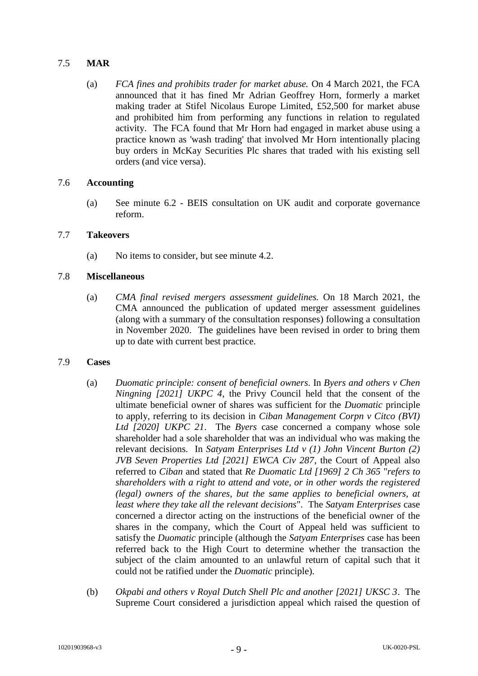# 7.5 **MAR**

(a) *FCA fines and prohibits trader for market abuse.* On 4 March 2021, the FCA announced that it has fined Mr Adrian Geoffrey Horn, formerly a market making trader at Stifel Nicolaus Europe Limited, £52,500 for market abuse and prohibited him from performing any functions in relation to regulated activity. The FCA found that Mr Horn had engaged in market abuse using a practice known as 'wash trading' that involved Mr Horn intentionally placing buy orders in McKay Securities Plc shares that traded with his existing sell orders (and vice versa).

# 7.6 **Accounting**

(a) See minute 6.2 - BEIS consultation on UK audit and corporate governance reform.

## 7.7 **Takeovers**

(a) No items to consider, but see minute 4.2.

## 7.8 **Miscellaneous**

(a) *CMA final revised mergers assessment guidelines.* On 18 March 2021, the CMA announced the publication of updated merger assessment guidelines (along with a summary of the consultation responses) following a consultation in November 2020. The guidelines have been revised in order to bring them up to date with current best practice.

### 7.9 **Cases**

- (a) *Duomatic principle: consent of beneficial owners*. In *Byers and others v Chen Ningning [2021] UKPC 4*, the Privy Council held that the consent of the ultimate beneficial owner of shares was sufficient for the *Duomatic* principle to apply, referring to its decision in *Ciban Management Corpn v Citco (BVI) Ltd [2020] UKPC 21*. The *Byers* case concerned a company whose sole shareholder had a sole shareholder that was an individual who was making the relevant decisions. In *Satyam Enterprises Ltd v (1) John Vincent Burton (2) JVB Seven Properties Ltd [2021] EWCA Civ 287*, the Court of Appeal also referred to *Ciban* and stated that *Re Duomatic Ltd [1969] 2 Ch 365* "*refers to shareholders with a right to attend and vote, or in other words the registered (legal) owners of the shares, but the same applies to beneficial owners, at least where they take all the relevant decisions*". The *Satyam Enterprises* case concerned a director acting on the instructions of the beneficial owner of the shares in the company, which the Court of Appeal held was sufficient to satisfy the *Duomatic* principle (although the *Satyam Enterprises* case has been referred back to the High Court to determine whether the transaction the subject of the claim amounted to an unlawful return of capital such that it could not be ratified under the *Duomatic* principle).
- (b) *Okpabi and others v Royal Dutch Shell Plc and another [2021] UKSC 3*. The Supreme Court considered a jurisdiction appeal which raised the question of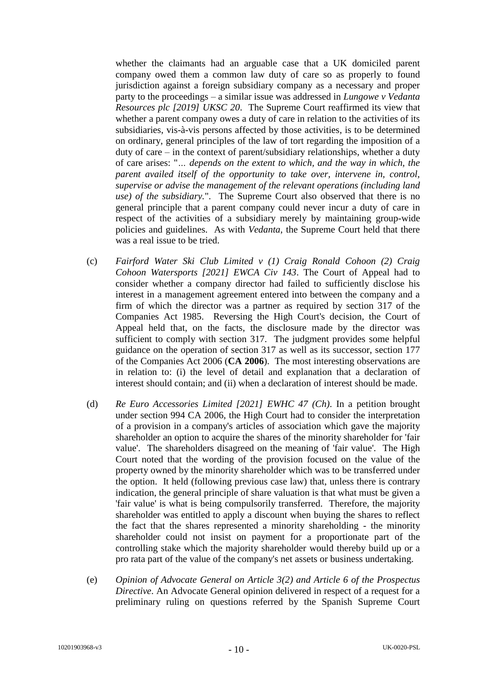whether the claimants had an arguable case that a UK domiciled parent company owed them a common law duty of care so as properly to found jurisdiction against a foreign subsidiary company as a necessary and proper party to the proceedings – a similar issue was addressed in *Lungowe v Vedanta Resources plc [2019] UKSC 20*. The Supreme Court reaffirmed its view that whether a parent company owes a duty of care in relation to the activities of its subsidiaries, vis-à-vis persons affected by those activities, is to be determined on ordinary, general principles of the law of tort regarding the imposition of a duty of care – in the context of parent/subsidiary relationships, whether a duty of care arises: "*… depends on the extent to which, and the way in which, the parent availed itself of the opportunity to take over, intervene in, control, supervise or advise the management of the relevant operations (including land use) of the subsidiary.*". The Supreme Court also observed that there is no general principle that a parent company could never incur a duty of care in respect of the activities of a subsidiary merely by maintaining group-wide policies and guidelines. As with *Vedanta*, the Supreme Court held that there was a real issue to be tried.

- (c) *Fairford Water Ski Club Limited v (1) Craig Ronald Cohoon (2) Craig Cohoon Watersports [2021] EWCA Civ 143*. The Court of Appeal had to consider whether a company director had failed to sufficiently disclose his interest in a management agreement entered into between the company and a firm of which the director was a partner as required by section 317 of the Companies Act 1985. Reversing the High Court's decision, the Court of Appeal held that, on the facts, the disclosure made by the director was sufficient to comply with section 317. The judgment provides some helpful guidance on the operation of section 317 as well as its successor, section 177 of the Companies Act 2006 (**CA 2006**). The most interesting observations are in relation to: (i) the level of detail and explanation that a declaration of interest should contain; and (ii) when a declaration of interest should be made.
- (d) *Re Euro Accessories Limited [2021] EWHC 47 (Ch)*. In a petition brought under section 994 CA 2006, the High Court had to consider the interpretation of a provision in a company's articles of association which gave the majority shareholder an option to acquire the shares of the minority shareholder for 'fair value'. The shareholders disagreed on the meaning of 'fair value'. The High Court noted that the wording of the provision focused on the value of the property owned by the minority shareholder which was to be transferred under the option. It held (following previous case law) that, unless there is contrary indication, the general principle of share valuation is that what must be given a 'fair value' is what is being compulsorily transferred. Therefore, the majority shareholder was entitled to apply a discount when buying the shares to reflect the fact that the shares represented a minority shareholding - the minority shareholder could not insist on payment for a proportionate part of the controlling stake which the majority shareholder would thereby build up or a pro rata part of the value of the company's net assets or business undertaking.
- (e) *Opinion of Advocate General on Article 3(2) and Article 6 of the Prospectus Directive*. An Advocate General opinion delivered in respect of a request for a preliminary ruling on questions referred by the Spanish Supreme Court